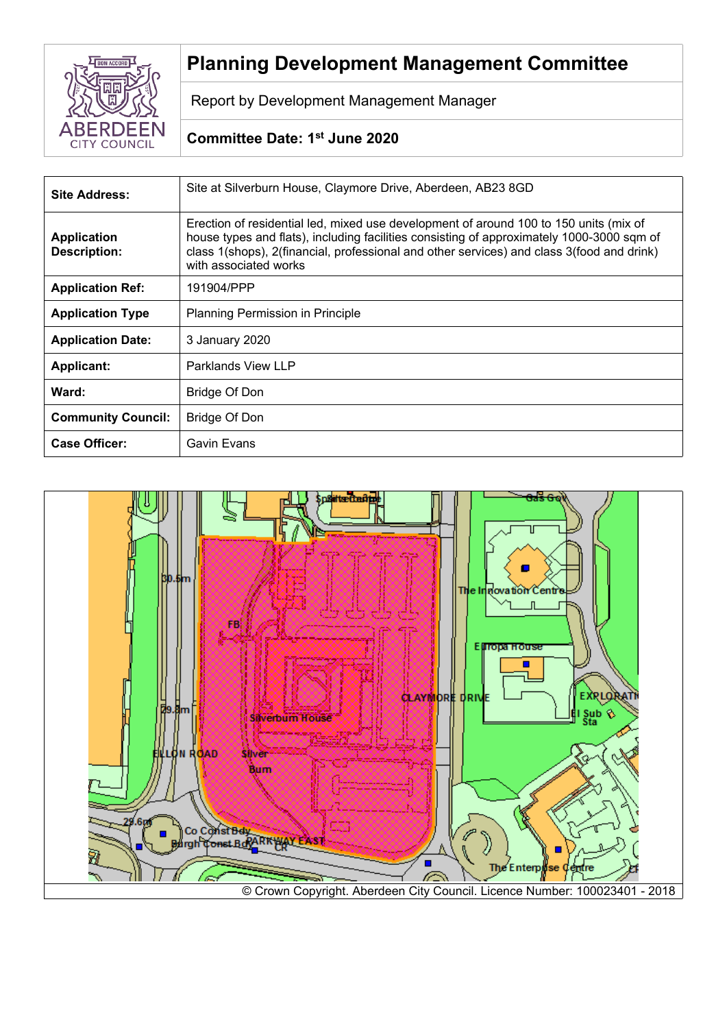

# **Planning Development Management Committee**

Report by Development Management Manager

# **Committee Date: 1 st June 2020**

| <b>Site Address:</b>                      | Site at Silverburn House, Claymore Drive, Aberdeen, AB23 8GD                                                                                                                                                                                                                                             |  |
|-------------------------------------------|----------------------------------------------------------------------------------------------------------------------------------------------------------------------------------------------------------------------------------------------------------------------------------------------------------|--|
| <b>Application</b><br><b>Description:</b> | Erection of residential led, mixed use development of around 100 to 150 units (mix of<br>house types and flats), including facilities consisting of approximately 1000-3000 sqm of<br>class 1(shops), 2(financial, professional and other services) and class 3(food and drink)<br>with associated works |  |
| <b>Application Ref:</b>                   | 191904/PPP                                                                                                                                                                                                                                                                                               |  |
| <b>Application Type</b>                   | Planning Permission in Principle                                                                                                                                                                                                                                                                         |  |
| <b>Application Date:</b>                  | 3 January 2020                                                                                                                                                                                                                                                                                           |  |
| <b>Applicant:</b>                         | Parklands View LLP                                                                                                                                                                                                                                                                                       |  |
| Ward:                                     | Bridge Of Don                                                                                                                                                                                                                                                                                            |  |
| <b>Community Council:</b>                 | <b>Bridge Of Don</b>                                                                                                                                                                                                                                                                                     |  |
| <b>Case Officer:</b>                      | Gavin Evans                                                                                                                                                                                                                                                                                              |  |

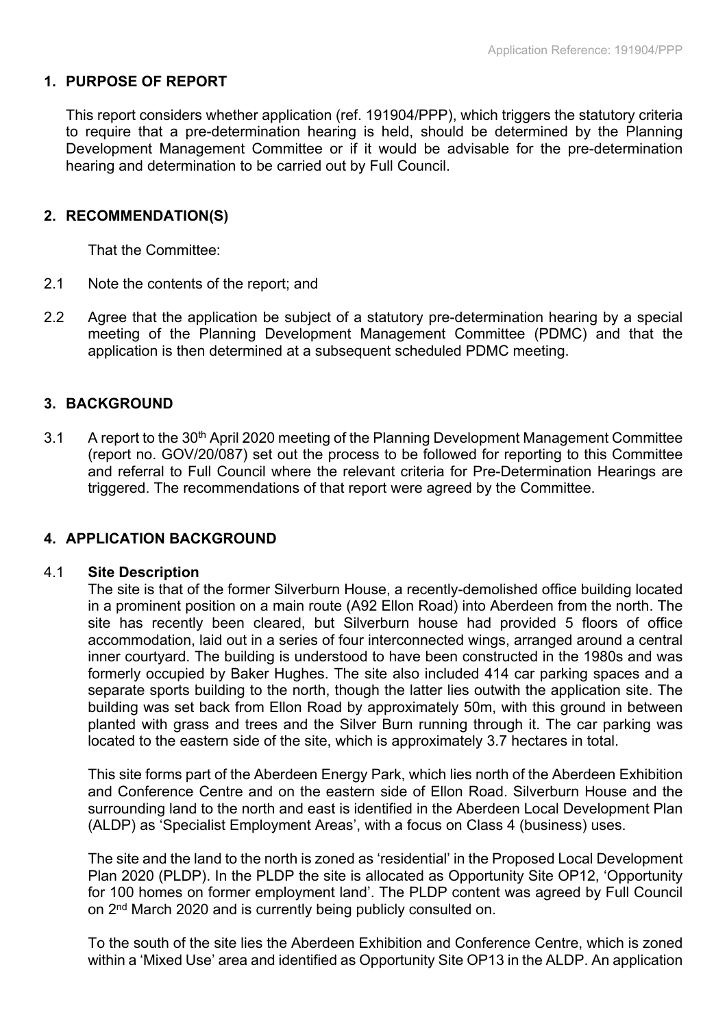## **1. PURPOSE OF REPORT**

This report considers whether application (ref. 191904/PPP), which triggers the statutory criteria to require that a pre-determination hearing is held, should be determined by the Planning Development Management Committee or if it would be advisable for the pre-determination hearing and determination to be carried out by Full Council.

# **2. RECOMMENDATION(S)**

That the Committee:

- 2.1 Note the contents of the report; and
- 2.2 Agree that the application be subject of a statutory pre-determination hearing by a special meeting of the Planning Development Management Committee (PDMC) and that the application is then determined at a subsequent scheduled PDMC meeting.

# **3. BACKGROUND**

3.1 A report to the 30<sup>th</sup> April 2020 meeting of the Planning Development Management Committee (report no. GOV/20/087) set out the process to be followed for reporting to this Committee and referral to Full Council where the relevant criteria for Pre-Determination Hearings are triggered. The recommendations of that report were agreed by the Committee.

## **4. APPLICATION BACKGROUND**

#### 4.1 **Site Description**

The site is that of the former Silverburn House, a recently-demolished office building located in a prominent position on a main route (A92 Ellon Road) into Aberdeen from the north. The site has recently been cleared, but Silverburn house had provided 5 floors of office accommodation, laid out in a series of four interconnected wings, arranged around a central inner courtyard. The building is understood to have been constructed in the 1980s and was formerly occupied by Baker Hughes. The site also included 414 car parking spaces and a separate sports building to the north, though the latter lies outwith the application site. The building was set back from Ellon Road by approximately 50m, with this ground in between planted with grass and trees and the Silver Burn running through it. The car parking was located to the eastern side of the site, which is approximately 3.7 hectares in total.

This site forms part of the Aberdeen Energy Park, which lies north of the Aberdeen Exhibition and Conference Centre and on the eastern side of Ellon Road. Silverburn House and the surrounding land to the north and east is identified in the Aberdeen Local Development Plan (ALDP) as 'Specialist Employment Areas', with a focus on Class 4 (business) uses.

The site and the land to the north is zoned as 'residential' in the Proposed Local Development Plan 2020 (PLDP). In the PLDP the site is allocated as Opportunity Site OP12, 'Opportunity for 100 homes on former employment land'. The PLDP content was agreed by Full Council on 2<sup>nd</sup> March 2020 and is currently being publicly consulted on.

To the south of the site lies the Aberdeen Exhibition and Conference Centre, which is zoned within a 'Mixed Use' area and identified as Opportunity Site OP13 in the ALDP. An application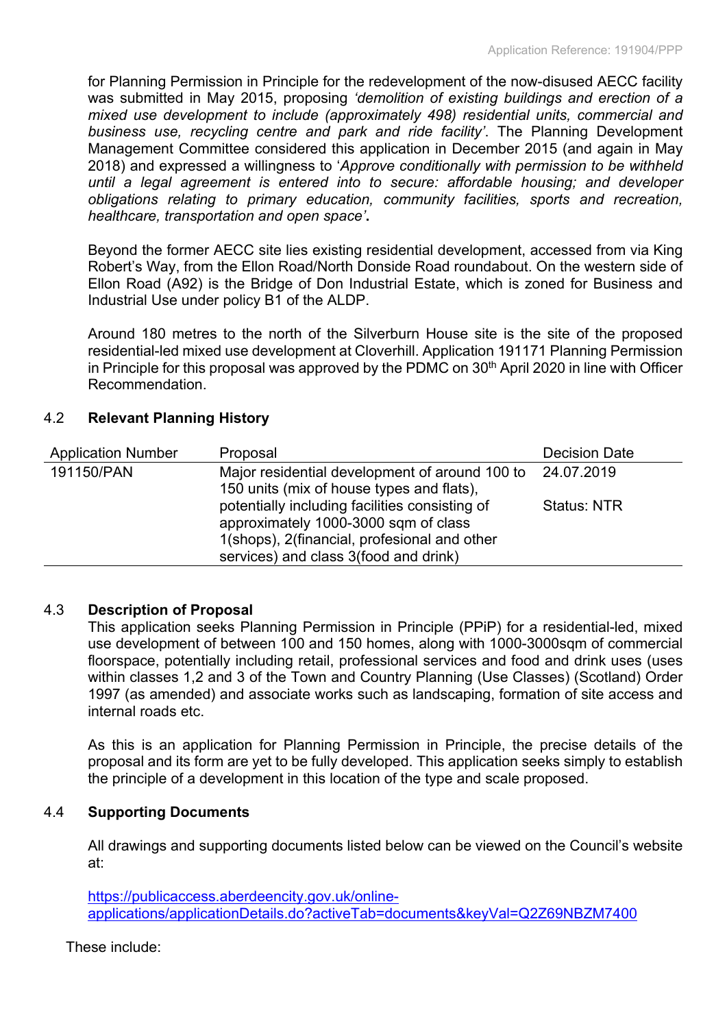for Planning Permission in Principle for the redevelopment of the now-disused AECC facility was submitted in May 2015, proposing *'demolition of existing buildings and erection of a mixed use development to include (approximately 498) residential units, commercial and business use, recycling centre and park and ride facility'*. The Planning Development Management Committee considered this application in December 2015 (and again in May 2018) and expressed a willingness to '*Approve conditionally with permission to be withheld until a legal agreement is entered into to secure: affordable housing; and developer obligations relating to primary education, community facilities, sports and recreation, healthcare, transportation and open space'***.**

Beyond the former AECC site lies existing residential development, accessed from via King Robert's Way, from the Ellon Road/North Donside Road roundabout. On the western side of Ellon Road (A92) is the Bridge of Don Industrial Estate, which is zoned for Business and Industrial Use under policy B1 of the ALDP.

Around 180 metres to the north of the Silverburn House site is the site of the proposed residential-led mixed use development at Cloverhill. Application 191171 Planning Permission in Principle for this proposal was approved by the PDMC on 30<sup>th</sup> April 2020 in line with Officer Recommendation.

# 4.2 **Relevant Planning History**

| <b>Application Number</b> | Proposal                                                                                                                                                                        | <b>Decision Date</b> |
|---------------------------|---------------------------------------------------------------------------------------------------------------------------------------------------------------------------------|----------------------|
| 191150/PAN                | Major residential development of around 100 to 24.07.2019<br>150 units (mix of house types and flats),                                                                          |                      |
|                           | potentially including facilities consisting of<br>approximately 1000-3000 sqm of class<br>1(shops), 2(financial, profesional and other<br>services) and class 3(food and drink) | <b>Status: NTR</b>   |

## 4.3 **Description of Proposal**

This application seeks Planning Permission in Principle (PPiP) for a residential-led, mixed use development of between 100 and 150 homes, along with 1000-3000sqm of commercial floorspace, potentially including retail, professional services and food and drink uses (uses within classes 1,2 and 3 of the Town and Country Planning (Use Classes) (Scotland) Order 1997 (as amended) and associate works such as landscaping, formation of site access and internal roads etc.

As this is an application for Planning Permission in Principle, the precise details of the proposal and its form are yet to be fully developed. This application seeks simply to establish the principle of a development in this location of the type and scale proposed.

## 4.4 **Supporting Documents**

All drawings and supporting documents listed below can be viewed on the Council's website at:

[https://publicaccess.aberdeencity.gov.uk/online](https://publicaccess.aberdeencity.gov.uk/online-applications/applicationDetails.do?activeTab=documents&keyVal=Q2Z69NBZM7400)[applications/applicationDetails.do?activeTab=documents&keyVal=Q2Z69NBZM7400](https://publicaccess.aberdeencity.gov.uk/online-applications/applicationDetails.do?activeTab=documents&keyVal=Q2Z69NBZM7400)

These include: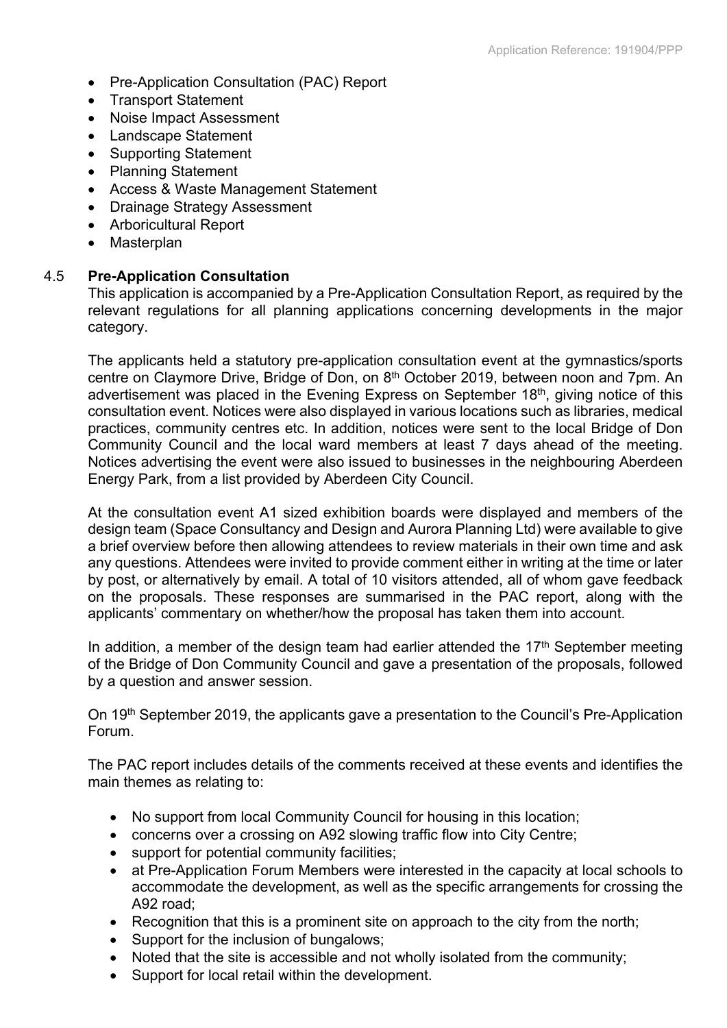- Pre-Application Consultation (PAC) Report
- Transport Statement
- Noise Impact Assessment
- Landscape Statement
- Supporting Statement
- Planning Statement
- Access & Waste Management Statement
- Drainage Strategy Assessment
- Arboricultural Report
- Masterplan

## 4.5 **Pre-Application Consultation**

This application is accompanied by a Pre-Application Consultation Report, as required by the relevant regulations for all planning applications concerning developments in the major category.

The applicants held a statutory pre-application consultation event at the gymnastics/sports centre on Claymore Drive, Bridge of Don, on 8<sup>th</sup> October 2019, between noon and 7pm. An advertisement was placed in the Evening Express on September 18<sup>th</sup>, giving notice of this consultation event. Notices were also displayed in various locations such as libraries, medical practices, community centres etc. In addition, notices were sent to the local Bridge of Don Community Council and the local ward members at least 7 days ahead of the meeting. Notices advertising the event were also issued to businesses in the neighbouring Aberdeen Energy Park, from a list provided by Aberdeen City Council.

At the consultation event A1 sized exhibition boards were displayed and members of the design team (Space Consultancy and Design and Aurora Planning Ltd) were available to give a brief overview before then allowing attendees to review materials in their own time and ask any questions. Attendees were invited to provide comment either in writing at the time or later by post, or alternatively by email. A total of 10 visitors attended, all of whom gave feedback on the proposals. These responses are summarised in the PAC report, along with the applicants' commentary on whether/how the proposal has taken them into account.

In addition, a member of the design team had earlier attended the  $17<sup>th</sup>$  September meeting of the Bridge of Don Community Council and gave a presentation of the proposals, followed by a question and answer session.

On 19th September 2019, the applicants gave a presentation to the Council's Pre-Application Forum.

The PAC report includes details of the comments received at these events and identifies the main themes as relating to:

- No support from local Community Council for housing in this location;
- concerns over a crossing on A92 slowing traffic flow into City Centre;
- support for potential community facilities;
- at Pre-Application Forum Members were interested in the capacity at local schools to accommodate the development, as well as the specific arrangements for crossing the A92 road;
- Recognition that this is a prominent site on approach to the city from the north;
- Support for the inclusion of bungalows;
- Noted that the site is accessible and not wholly isolated from the community;
- Support for local retail within the development.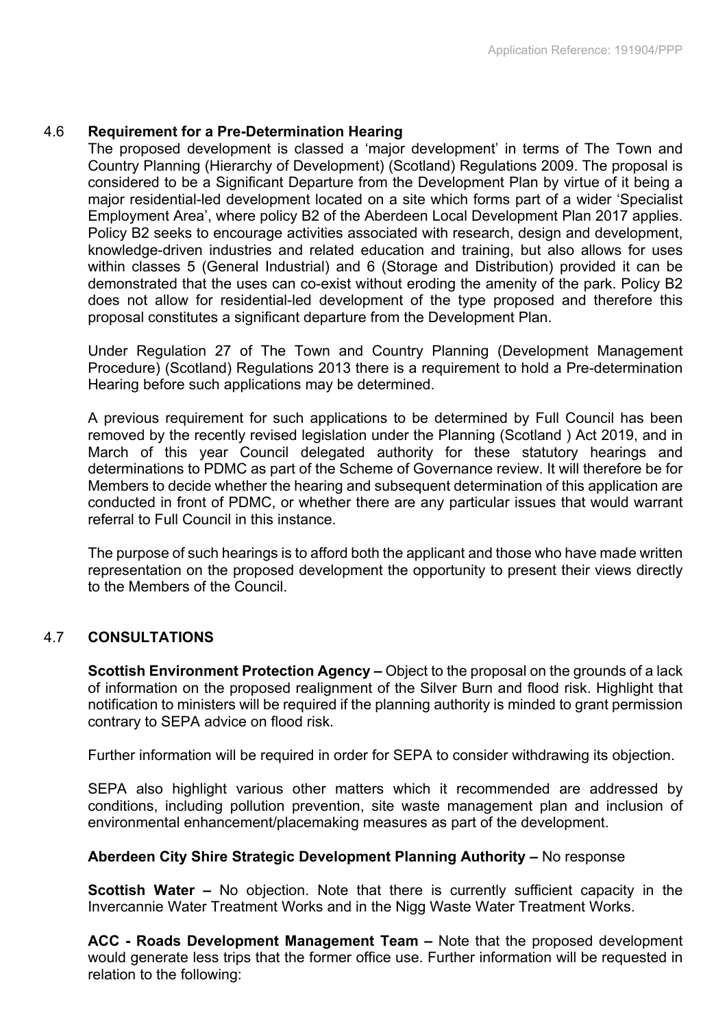## 4.6 **Requirement for a Pre-Determination Hearing**

The proposed development is classed a 'major development' in terms of The Town and Country Planning (Hierarchy of Development) (Scotland) Regulations 2009. The proposal is considered to be a Significant Departure from the Development Plan by virtue of it being a major residential-led development located on a site which forms part of a wider 'Specialist Employment Area', where policy B2 of the Aberdeen Local Development Plan 2017 applies. Policy B2 seeks to encourage activities associated with research, design and development, knowledge-driven industries and related education and training, but also allows for uses within classes 5 (General Industrial) and 6 (Storage and Distribution) provided it can be demonstrated that the uses can co-exist without eroding the amenity of the park. Policy B2 does not allow for residential-led development of the type proposed and therefore this proposal constitutes a significant departure from the Development Plan.

Under Regulation 27 of The Town and Country Planning (Development Management Procedure) (Scotland) Regulations 2013 there is a requirement to hold a Pre-determination Hearing before such applications may be determined.

A previous requirement for such applications to be determined by Full Council has been removed by the recently revised legislation under the Planning (Scotland ) Act 2019, and in March of this year Council delegated authority for these statutory hearings and determinations to PDMC as part of the Scheme of Governance review. It will therefore be for Members to decide whether the hearing and subsequent determination of this application are conducted in front of PDMC, or whether there are any particular issues that would warrant referral to Full Council in this instance.

The purpose of such hearings is to afford both the applicant and those who have made written representation on the proposed development the opportunity to present their views directly to the Members of the Council.

## 4.7 **CONSULTATIONS**

**Scottish Environment Protection Agency –** Object to the proposal on the grounds of a lack of information on the proposed realignment of the Silver Burn and flood risk. Highlight that notification to ministers will be required if the planning authority is minded to grant permission contrary to SEPA advice on flood risk.

Further information will be required in order for SEPA to consider withdrawing its objection.

SEPA also highlight various other matters which it recommended are addressed by conditions, including pollution prevention, site waste management plan and inclusion of environmental enhancement/placemaking measures as part of the development.

## **Aberdeen City Shire Strategic Development Planning Authority –** No response

**Scottish Water –** No objection. Note that there is currently sufficient capacity in the Invercannie Water Treatment Works and in the Nigg Waste Water Treatment Works.

**ACC - Roads Development Management Team –** Note that the proposed development would generate less trips that the former office use. Further information will be requested in relation to the following: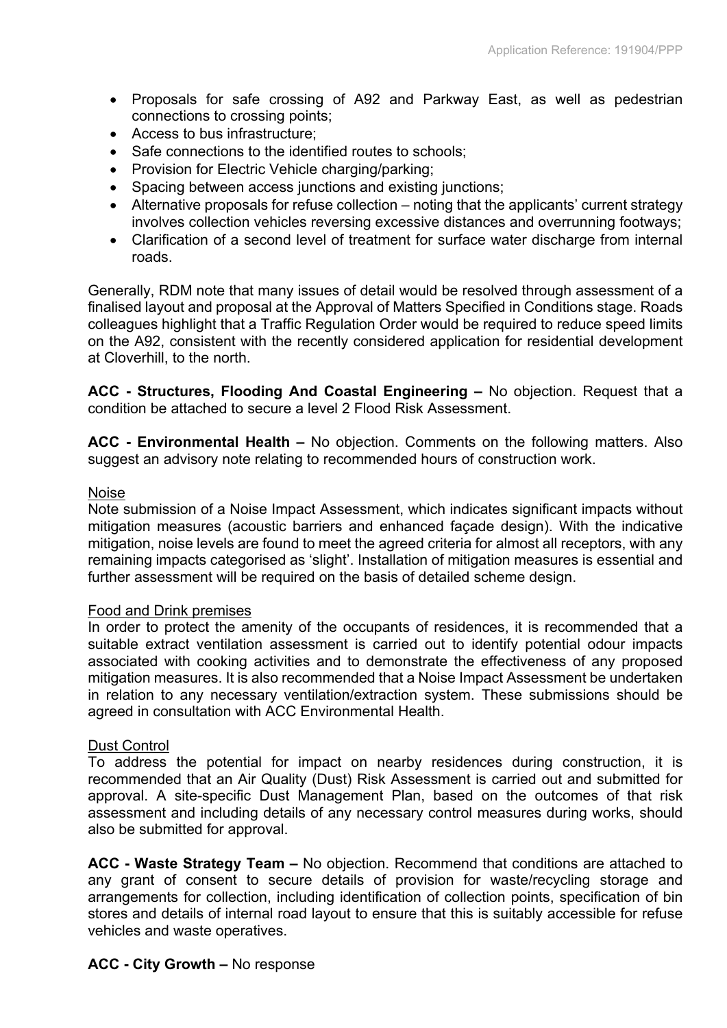- Proposals for safe crossing of A92 and Parkway East, as well as pedestrian connections to crossing points;
- Access to bus infrastructure;
- Safe connections to the identified routes to schools;
- Provision for Electric Vehicle charging/parking;
- Spacing between access junctions and existing junctions;
- Alternative proposals for refuse collection noting that the applicants' current strategy involves collection vehicles reversing excessive distances and overrunning footways;
- Clarification of a second level of treatment for surface water discharge from internal roads.

Generally, RDM note that many issues of detail would be resolved through assessment of a finalised layout and proposal at the Approval of Matters Specified in Conditions stage. Roads colleagues highlight that a Traffic Regulation Order would be required to reduce speed limits on the A92, consistent with the recently considered application for residential development at Cloverhill, to the north.

**ACC - Structures, Flooding And Coastal Engineering –** No objection. Request that a condition be attached to secure a level 2 Flood Risk Assessment.

**ACC - Environmental Health –** No objection. Comments on the following matters. Also suggest an advisory note relating to recommended hours of construction work.

## Noise

Note submission of a Noise Impact Assessment, which indicates significant impacts without mitigation measures (acoustic barriers and enhanced façade design). With the indicative mitigation, noise levels are found to meet the agreed criteria for almost all receptors, with any remaining impacts categorised as 'slight'. Installation of mitigation measures is essential and further assessment will be required on the basis of detailed scheme design.

#### Food and Drink premises

In order to protect the amenity of the occupants of residences, it is recommended that a suitable extract ventilation assessment is carried out to identify potential odour impacts associated with cooking activities and to demonstrate the effectiveness of any proposed mitigation measures. It is also recommended that a Noise Impact Assessment be undertaken in relation to any necessary ventilation/extraction system. These submissions should be agreed in consultation with ACC Environmental Health.

#### Dust Control

To address the potential for impact on nearby residences during construction, it is recommended that an Air Quality (Dust) Risk Assessment is carried out and submitted for approval. A site-specific Dust Management Plan, based on the outcomes of that risk assessment and including details of any necessary control measures during works, should also be submitted for approval.

**ACC - Waste Strategy Team –** No objection. Recommend that conditions are attached to any grant of consent to secure details of provision for waste/recycling storage and arrangements for collection, including identification of collection points, specification of bin stores and details of internal road layout to ensure that this is suitably accessible for refuse vehicles and waste operatives.

#### **ACC - City Growth –** No response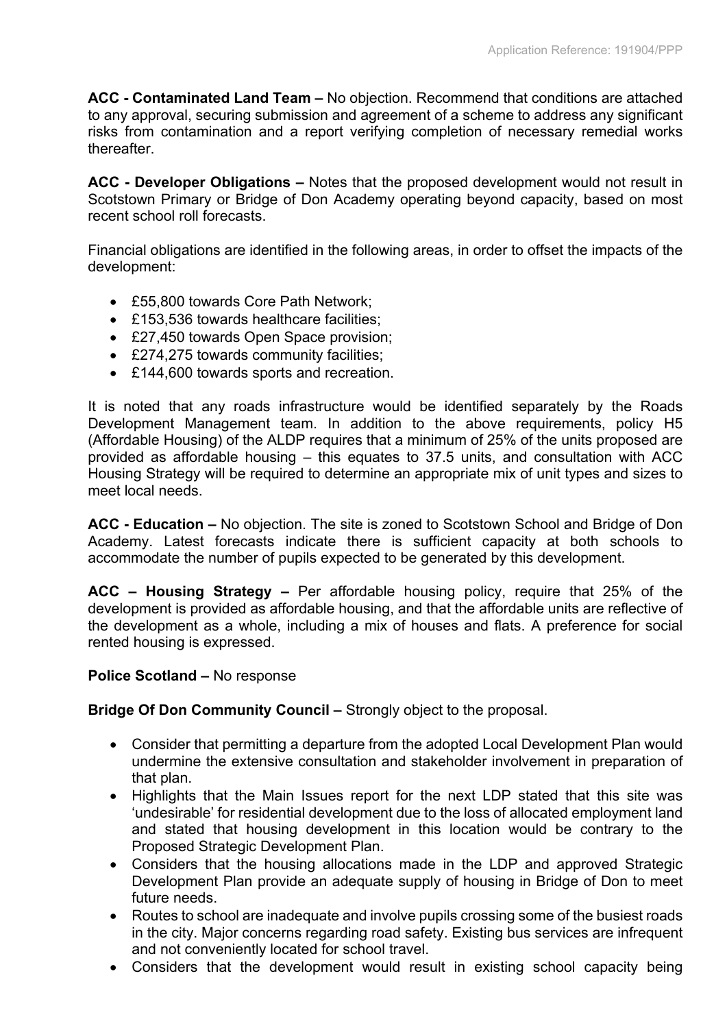**ACC - Contaminated Land Team –** No objection. Recommend that conditions are attached to any approval, securing submission and agreement of a scheme to address any significant risks from contamination and a report verifying completion of necessary remedial works thereafter.

**ACC - Developer Obligations –** Notes that the proposed development would not result in Scotstown Primary or Bridge of Don Academy operating beyond capacity, based on most recent school roll forecasts.

Financial obligations are identified in the following areas, in order to offset the impacts of the development:

- £55,800 towards Core Path Network:
- £153,536 towards healthcare facilities:
- £27,450 towards Open Space provision;
- £274,275 towards community facilities;
- £144,600 towards sports and recreation.

It is noted that any roads infrastructure would be identified separately by the Roads Development Management team. In addition to the above requirements, policy H5 (Affordable Housing) of the ALDP requires that a minimum of 25% of the units proposed are provided as affordable housing – this equates to 37.5 units, and consultation with ACC Housing Strategy will be required to determine an appropriate mix of unit types and sizes to meet local needs.

**ACC - Education –** No objection. The site is zoned to Scotstown School and Bridge of Don Academy. Latest forecasts indicate there is sufficient capacity at both schools to accommodate the number of pupils expected to be generated by this development.

**ACC – Housing Strategy –** Per affordable housing policy, require that 25% of the development is provided as affordable housing, and that the affordable units are reflective of the development as a whole, including a mix of houses and flats. A preference for social rented housing is expressed.

## **Police Scotland –** No response

**Bridge Of Don Community Council –** Strongly object to the proposal.

- Consider that permitting a departure from the adopted Local Development Plan would undermine the extensive consultation and stakeholder involvement in preparation of that plan.
- Highlights that the Main Issues report for the next LDP stated that this site was 'undesirable' for residential development due to the loss of allocated employment land and stated that housing development in this location would be contrary to the Proposed Strategic Development Plan.
- Considers that the housing allocations made in the LDP and approved Strategic Development Plan provide an adequate supply of housing in Bridge of Don to meet future needs.
- Routes to school are inadequate and involve pupils crossing some of the busiest roads in the city. Major concerns regarding road safety. Existing bus services are infrequent and not conveniently located for school travel.
- Considers that the development would result in existing school capacity being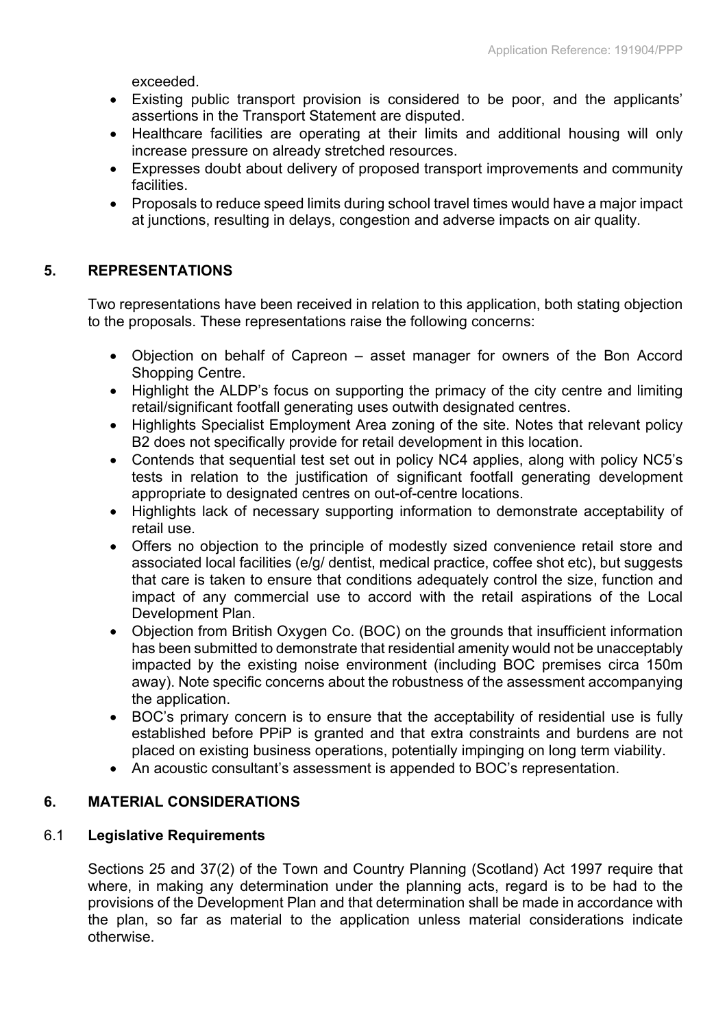exceeded.

- Existing public transport provision is considered to be poor, and the applicants' assertions in the Transport Statement are disputed.
- Healthcare facilities are operating at their limits and additional housing will only increase pressure on already stretched resources.
- Expresses doubt about delivery of proposed transport improvements and community facilities.
- Proposals to reduce speed limits during school travel times would have a major impact at junctions, resulting in delays, congestion and adverse impacts on air quality.

# **5. REPRESENTATIONS**

Two representations have been received in relation to this application, both stating objection to the proposals. These representations raise the following concerns:

- Objection on behalf of Capreon asset manager for owners of the Bon Accord Shopping Centre.
- Highlight the ALDP's focus on supporting the primacy of the city centre and limiting retail/significant footfall generating uses outwith designated centres.
- Highlights Specialist Employment Area zoning of the site. Notes that relevant policy B2 does not specifically provide for retail development in this location.
- Contends that sequential test set out in policy NC4 applies, along with policy NC5's tests in relation to the justification of significant footfall generating development appropriate to designated centres on out-of-centre locations.
- Highlights lack of necessary supporting information to demonstrate acceptability of retail use.
- Offers no objection to the principle of modestly sized convenience retail store and associated local facilities (e/g/ dentist, medical practice, coffee shot etc), but suggests that care is taken to ensure that conditions adequately control the size, function and impact of any commercial use to accord with the retail aspirations of the Local Development Plan.
- Objection from British Oxygen Co. (BOC) on the grounds that insufficient information has been submitted to demonstrate that residential amenity would not be unacceptably impacted by the existing noise environment (including BOC premises circa 150m away). Note specific concerns about the robustness of the assessment accompanying the application.
- BOC's primary concern is to ensure that the acceptability of residential use is fully established before PPiP is granted and that extra constraints and burdens are not placed on existing business operations, potentially impinging on long term viability.
- An acoustic consultant's assessment is appended to BOC's representation.

# **6. MATERIAL CONSIDERATIONS**

# 6.1 **Legislative Requirements**

Sections 25 and 37(2) of the Town and Country Planning (Scotland) Act 1997 require that where, in making any determination under the planning acts, regard is to be had to the provisions of the Development Plan and that determination shall be made in accordance with the plan, so far as material to the application unless material considerations indicate otherwise.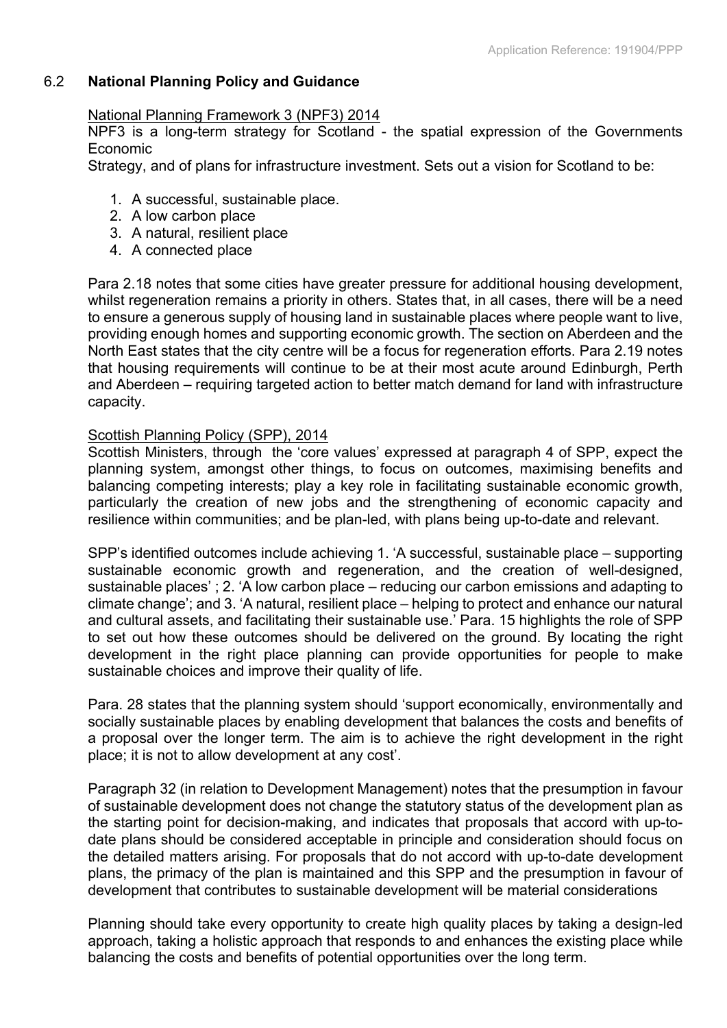# 6.2 **National Planning Policy and Guidance**

## National Planning Framework 3 (NPF3) 2014

NPF3 is a long-term strategy for Scotland - the spatial expression of the Governments Economic

Strategy, and of plans for infrastructure investment. Sets out a vision for Scotland to be:

- 1. A successful, sustainable place.
- 2. A low carbon place
- 3. A natural, resilient place
- 4. A connected place

Para 2.18 notes that some cities have greater pressure for additional housing development, whilst regeneration remains a priority in others. States that, in all cases, there will be a need to ensure a generous supply of housing land in sustainable places where people want to live, providing enough homes and supporting economic growth. The section on Aberdeen and the North East states that the city centre will be a focus for regeneration efforts. Para 2.19 notes that housing requirements will continue to be at their most acute around Edinburgh, Perth and Aberdeen – requiring targeted action to better match demand for land with infrastructure capacity.

## Scottish Planning Policy (SPP), 2014

Scottish Ministers, through the 'core values' expressed at paragraph 4 of SPP, expect the planning system, amongst other things, to focus on outcomes, maximising benefits and balancing competing interests; play a key role in facilitating sustainable economic growth, particularly the creation of new jobs and the strengthening of economic capacity and resilience within communities; and be plan-led, with plans being up-to-date and relevant.

SPP's identified outcomes include achieving 1. 'A successful, sustainable place – supporting sustainable economic growth and regeneration, and the creation of well-designed, sustainable places' ; 2. 'A low carbon place – reducing our carbon emissions and adapting to climate change'; and 3. 'A natural, resilient place – helping to protect and enhance our natural and cultural assets, and facilitating their sustainable use.' Para. 15 highlights the role of SPP to set out how these outcomes should be delivered on the ground. By locating the right development in the right place planning can provide opportunities for people to make sustainable choices and improve their quality of life.

Para. 28 states that the planning system should 'support economically, environmentally and socially sustainable places by enabling development that balances the costs and benefits of a proposal over the longer term. The aim is to achieve the right development in the right place; it is not to allow development at any cost'.

Paragraph 32 (in relation to Development Management) notes that the presumption in favour of sustainable development does not change the statutory status of the development plan as the starting point for decision-making, and indicates that proposals that accord with up-todate plans should be considered acceptable in principle and consideration should focus on the detailed matters arising. For proposals that do not accord with up-to-date development plans, the primacy of the plan is maintained and this SPP and the presumption in favour of development that contributes to sustainable development will be material considerations

Planning should take every opportunity to create high quality places by taking a design-led approach, taking a holistic approach that responds to and enhances the existing place while balancing the costs and benefits of potential opportunities over the long term.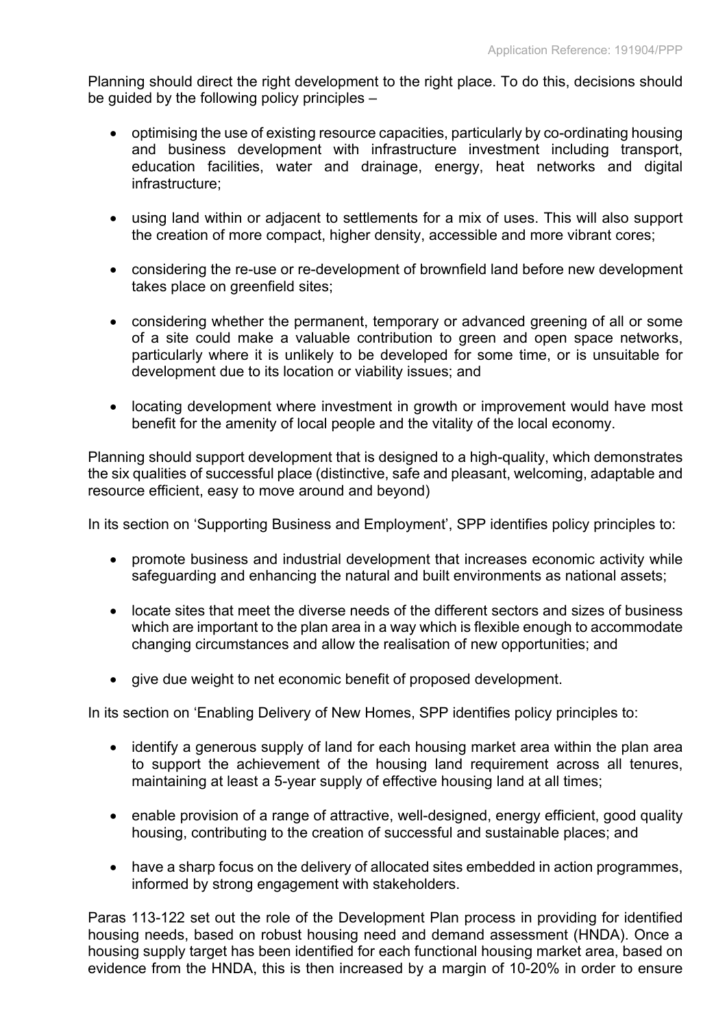Planning should direct the right development to the right place. To do this, decisions should be guided by the following policy principles –

- optimising the use of existing resource capacities, particularly by co-ordinating housing and business development with infrastructure investment including transport, education facilities, water and drainage, energy, heat networks and digital infrastructure;
- using land within or adjacent to settlements for a mix of uses. This will also support the creation of more compact, higher density, accessible and more vibrant cores;
- considering the re-use or re-development of brownfield land before new development takes place on greenfield sites;
- considering whether the permanent, temporary or advanced greening of all or some of a site could make a valuable contribution to green and open space networks, particularly where it is unlikely to be developed for some time, or is unsuitable for development due to its location or viability issues; and
- locating development where investment in growth or improvement would have most benefit for the amenity of local people and the vitality of the local economy.

Planning should support development that is designed to a high-quality, which demonstrates the six qualities of successful place (distinctive, safe and pleasant, welcoming, adaptable and resource efficient, easy to move around and beyond)

In its section on 'Supporting Business and Employment', SPP identifies policy principles to:

- promote business and industrial development that increases economic activity while safeguarding and enhancing the natural and built environments as national assets;
- locate sites that meet the diverse needs of the different sectors and sizes of business which are important to the plan area in a way which is flexible enough to accommodate changing circumstances and allow the realisation of new opportunities; and
- give due weight to net economic benefit of proposed development.

In its section on 'Enabling Delivery of New Homes, SPP identifies policy principles to:

- identify a generous supply of land for each housing market area within the plan area to support the achievement of the housing land requirement across all tenures, maintaining at least a 5-year supply of effective housing land at all times;
- enable provision of a range of attractive, well-designed, energy efficient, good quality housing, contributing to the creation of successful and sustainable places; and
- have a sharp focus on the delivery of allocated sites embedded in action programmes, informed by strong engagement with stakeholders.

Paras 113-122 set out the role of the Development Plan process in providing for identified housing needs, based on robust housing need and demand assessment (HNDA). Once a housing supply target has been identified for each functional housing market area, based on evidence from the HNDA, this is then increased by a margin of 10-20% in order to ensure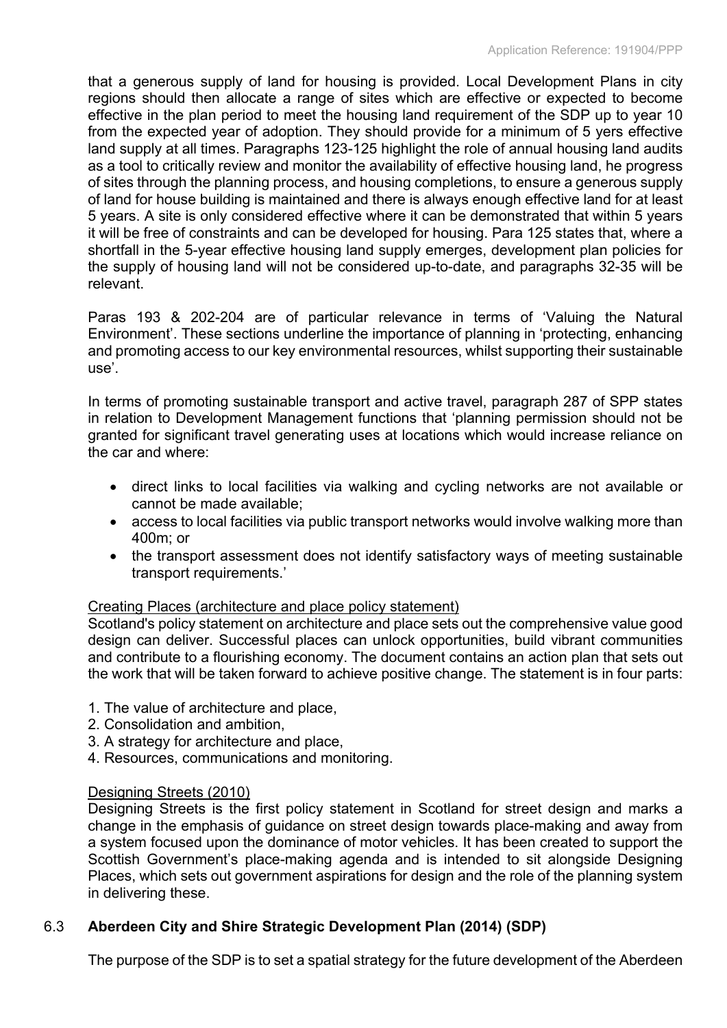that a generous supply of land for housing is provided. Local Development Plans in city regions should then allocate a range of sites which are effective or expected to become effective in the plan period to meet the housing land requirement of the SDP up to year 10 from the expected year of adoption. They should provide for a minimum of 5 yers effective land supply at all times. Paragraphs 123-125 highlight the role of annual housing land audits as a tool to critically review and monitor the availability of effective housing land, he progress of sites through the planning process, and housing completions, to ensure a generous supply of land for house building is maintained and there is always enough effective land for at least 5 years. A site is only considered effective where it can be demonstrated that within 5 years it will be free of constraints and can be developed for housing. Para 125 states that, where a shortfall in the 5-year effective housing land supply emerges, development plan policies for the supply of housing land will not be considered up-to-date, and paragraphs 32-35 will be relevant.

Paras 193 & 202-204 are of particular relevance in terms of 'Valuing the Natural Environment'. These sections underline the importance of planning in 'protecting, enhancing and promoting access to our key environmental resources, whilst supporting their sustainable use'.

In terms of promoting sustainable transport and active travel, paragraph 287 of SPP states in relation to Development Management functions that 'planning permission should not be granted for significant travel generating uses at locations which would increase reliance on the car and where:

- direct links to local facilities via walking and cycling networks are not available or cannot be made available;
- access to local facilities via public transport networks would involve walking more than 400m; or
- the transport assessment does not identify satisfactory ways of meeting sustainable transport requirements.'

## Creating Places (architecture and place policy statement)

Scotland's policy statement on architecture and place sets out the comprehensive value good design can deliver. Successful places can unlock opportunities, build vibrant communities and contribute to a flourishing economy. The document contains an action plan that sets out the work that will be taken forward to achieve positive change. The statement is in four parts:

- 1. The value of architecture and place,
- 2. Consolidation and ambition,
- 3. A strategy for architecture and place,
- 4. Resources, communications and monitoring.

## Designing Streets (2010)

Designing Streets is the first policy statement in Scotland for street design and marks a change in the emphasis of guidance on street design towards place-making and away from a system focused upon the dominance of motor vehicles. It has been created to support the Scottish Government's place-making agenda and is intended to sit alongside Designing Places, which sets out government aspirations for design and the role of the planning system in delivering these.

# 6.3 **Aberdeen City and Shire Strategic Development Plan (2014) (SDP)**

The purpose of the SDP is to set a spatial strategy for the future development of the Aberdeen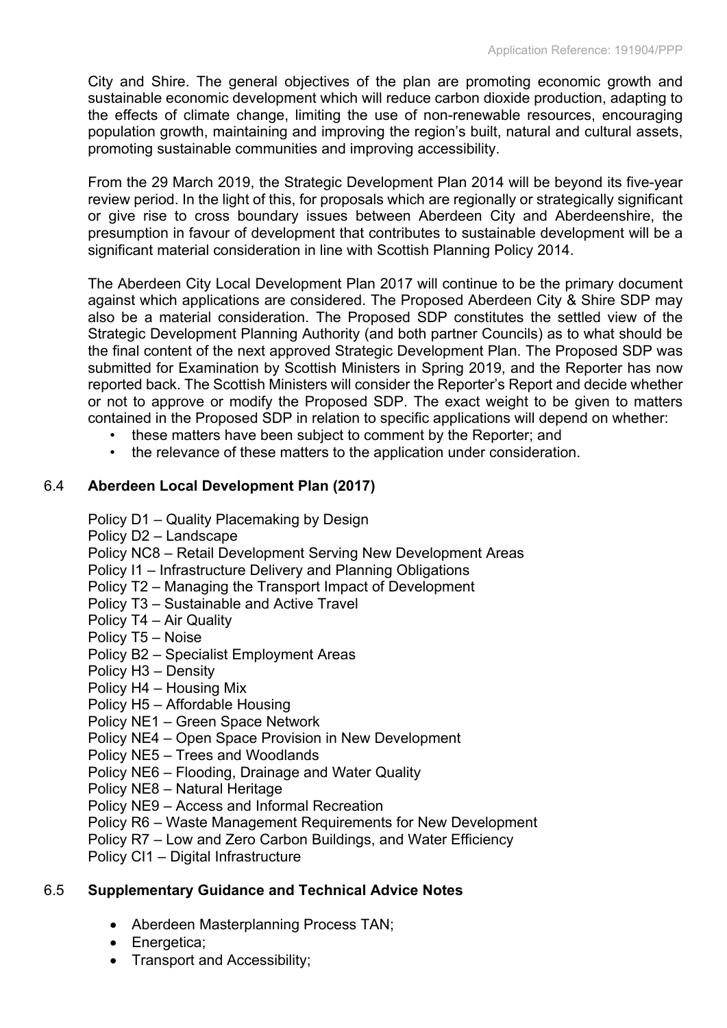City and Shire. The general objectives of the plan are promoting economic growth and sustainable economic development which will reduce carbon dioxide production, adapting to the effects of climate change, limiting the use of non-renewable resources, encouraging population growth, maintaining and improving the region's built, natural and cultural assets, promoting sustainable communities and improving accessibility.

From the 29 March 2019, the Strategic Development Plan 2014 will be beyond its five-year review period. In the light of this, for proposals which are regionally or strategically significant or give rise to cross boundary issues between Aberdeen City and Aberdeenshire, the presumption in favour of development that contributes to sustainable development will be a significant material consideration in line with Scottish Planning Policy 2014.

The Aberdeen City Local Development Plan 2017 will continue to be the primary document against which applications are considered. The Proposed Aberdeen City & Shire SDP may also be a material consideration. The Proposed SDP constitutes the settled view of the Strategic Development Planning Authority (and both partner Councils) as to what should be the final content of the next approved Strategic Development Plan. The Proposed SDP was submitted for Examination by Scottish Ministers in Spring 2019, and the Reporter has now reported back. The Scottish Ministers will consider the Reporter's Report and decide whether or not to approve or modify the Proposed SDP. The exact weight to be given to matters contained in the Proposed SDP in relation to specific applications will depend on whether:

- these matters have been subject to comment by the Reporter; and
- the relevance of these matters to the application under consideration.

# 6.4 **Aberdeen Local Development Plan (2017)**

- Policy D1 Quality Placemaking by Design
- Policy D2 Landscape

Policy NC8 – Retail Development Serving New Development Areas

Policy I1 – Infrastructure Delivery and Planning Obligations

Policy T2 – Managing the Transport Impact of Development

- Policy T3 Sustainable and Active Travel
- Policy T4 Air Quality
- Policy T5 Noise
- Policy B2 Specialist Employment Areas
- Policy H3 Density
- Policy H4 Housing Mix
- Policy H5 Affordable Housing

Policy NE1 – Green Space Network

- Policy NE4 Open Space Provision in New Development
- Policy NE5 Trees and Woodlands
- Policy NE6 Flooding, Drainage and Water Quality
- Policy NE8 Natural Heritage
- Policy NE9 Access and Informal Recreation
- Policy R6 Waste Management Requirements for New Development
- Policy R7 Low and Zero Carbon Buildings, and Water Efficiency
- Policy CI1 Digital Infrastructure

# 6.5 **Supplementary Guidance and Technical Advice Notes**

- Aberdeen Masterplanning Process TAN;
- Energetica;
- Transport and Accessibility;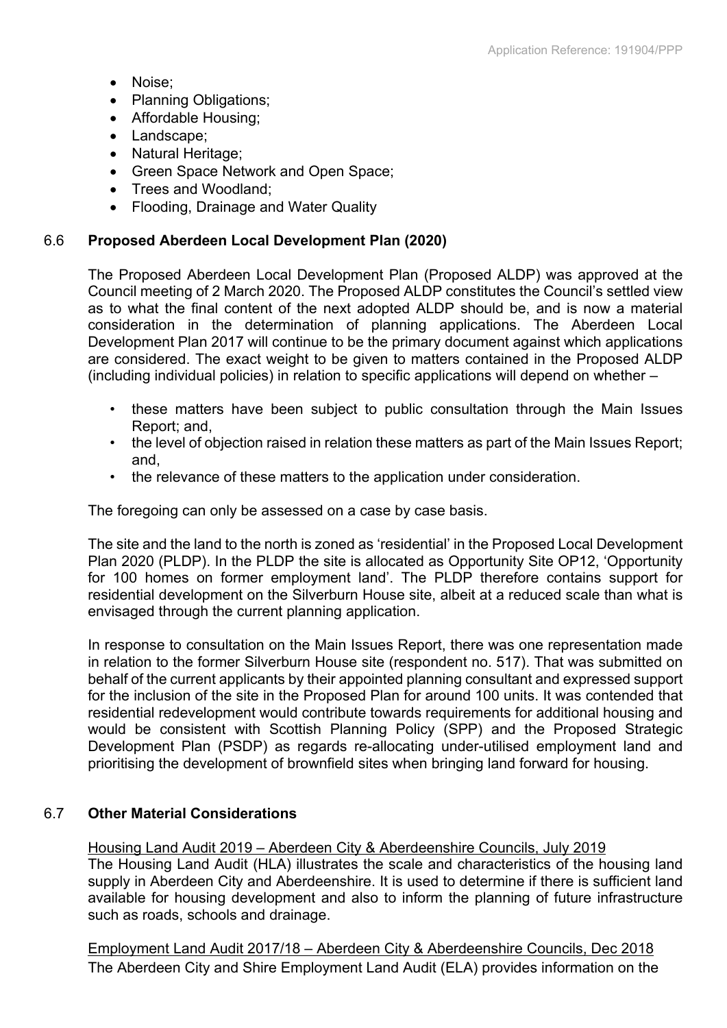- Noise:
- Planning Obligations;
- Affordable Housing;
- Landscape;
- Natural Heritage;
- Green Space Network and Open Space;
- Trees and Woodland:
- Flooding, Drainage and Water Quality

# 6.6 **Proposed Aberdeen Local Development Plan (2020)**

The Proposed Aberdeen Local Development Plan (Proposed ALDP) was approved at the Council meeting of 2 March 2020. The Proposed ALDP constitutes the Council's settled view as to what the final content of the next adopted ALDP should be, and is now a material consideration in the determination of planning applications. The Aberdeen Local Development Plan 2017 will continue to be the primary document against which applications are considered. The exact weight to be given to matters contained in the Proposed ALDP (including individual policies) in relation to specific applications will depend on whether –

- these matters have been subject to public consultation through the Main Issues Report; and,
- the level of objection raised in relation these matters as part of the Main Issues Report; and,
- the relevance of these matters to the application under consideration.

The foregoing can only be assessed on a case by case basis.

The site and the land to the north is zoned as 'residential' in the Proposed Local Development Plan 2020 (PLDP). In the PLDP the site is allocated as Opportunity Site OP12, 'Opportunity for 100 homes on former employment land'. The PLDP therefore contains support for residential development on the Silverburn House site, albeit at a reduced scale than what is envisaged through the current planning application.

In response to consultation on the Main Issues Report, there was one representation made in relation to the former Silverburn House site (respondent no. 517). That was submitted on behalf of the current applicants by their appointed planning consultant and expressed support for the inclusion of the site in the Proposed Plan for around 100 units. It was contended that residential redevelopment would contribute towards requirements for additional housing and would be consistent with Scottish Planning Policy (SPP) and the Proposed Strategic Development Plan (PSDP) as regards re-allocating under-utilised employment land and prioritising the development of brownfield sites when bringing land forward for housing.

## 6.7 **Other Material Considerations**

## Housing Land Audit 2019 – Aberdeen City & Aberdeenshire Councils, July 2019

The Housing Land Audit (HLA) illustrates the scale and characteristics of the housing land supply in Aberdeen City and Aberdeenshire. It is used to determine if there is sufficient land available for housing development and also to inform the planning of future infrastructure such as roads, schools and drainage.

Employment Land Audit 2017/18 – Aberdeen City & Aberdeenshire Councils, Dec 2018 The Aberdeen City and Shire Employment Land Audit (ELA) provides information on the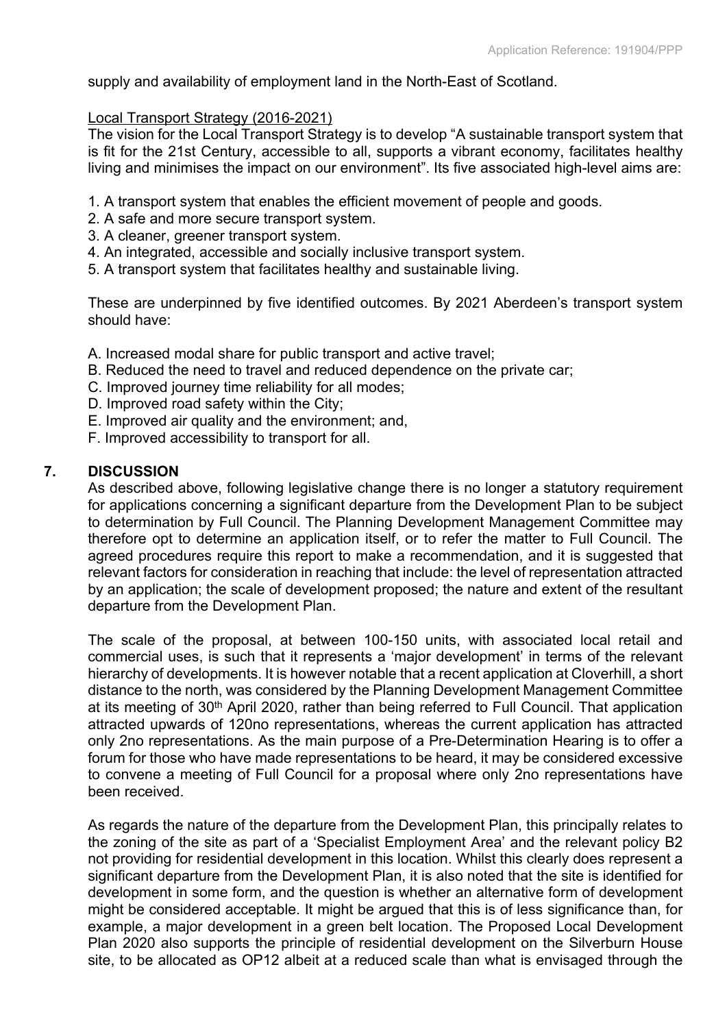supply and availability of employment land in the North-East of Scotland.

## Local Transport Strategy (2016-2021)

The vision for the Local Transport Strategy is to develop "A sustainable transport system that is fit for the 21st Century, accessible to all, supports a vibrant economy, facilitates healthy living and minimises the impact on our environment". Its five associated high-level aims are:

- 1. A transport system that enables the efficient movement of people and goods.
- 2. A safe and more secure transport system.
- 3. A cleaner, greener transport system.
- 4. An integrated, accessible and socially inclusive transport system.
- 5. A transport system that facilitates healthy and sustainable living.

These are underpinned by five identified outcomes. By 2021 Aberdeen's transport system should have:

- A. Increased modal share for public transport and active travel;
- B. Reduced the need to travel and reduced dependence on the private car;
- C. Improved journey time reliability for all modes;
- D. Improved road safety within the City;
- E. Improved air quality and the environment; and,
- F. Improved accessibility to transport for all.

## **7. DISCUSSION**

As described above, following legislative change there is no longer a statutory requirement for applications concerning a significant departure from the Development Plan to be subject to determination by Full Council. The Planning Development Management Committee may therefore opt to determine an application itself, or to refer the matter to Full Council. The agreed procedures require this report to make a recommendation, and it is suggested that relevant factors for consideration in reaching that include: the level of representation attracted by an application; the scale of development proposed; the nature and extent of the resultant departure from the Development Plan.

The scale of the proposal, at between 100-150 units, with associated local retail and commercial uses, is such that it represents a 'major development' in terms of the relevant hierarchy of developments. It is however notable that a recent application at Cloverhill, a short distance to the north, was considered by the Planning Development Management Committee at its meeting of 30<sup>th</sup> April 2020, rather than being referred to Full Council. That application attracted upwards of 120no representations, whereas the current application has attracted only 2no representations. As the main purpose of a Pre-Determination Hearing is to offer a forum for those who have made representations to be heard, it may be considered excessive to convene a meeting of Full Council for a proposal where only 2no representations have been received.

As regards the nature of the departure from the Development Plan, this principally relates to the zoning of the site as part of a 'Specialist Employment Area' and the relevant policy B2 not providing for residential development in this location. Whilst this clearly does represent a significant departure from the Development Plan, it is also noted that the site is identified for development in some form, and the question is whether an alternative form of development might be considered acceptable. It might be argued that this is of less significance than, for example, a major development in a green belt location. The Proposed Local Development Plan 2020 also supports the principle of residential development on the Silverburn House site, to be allocated as OP12 albeit at a reduced scale than what is envisaged through the